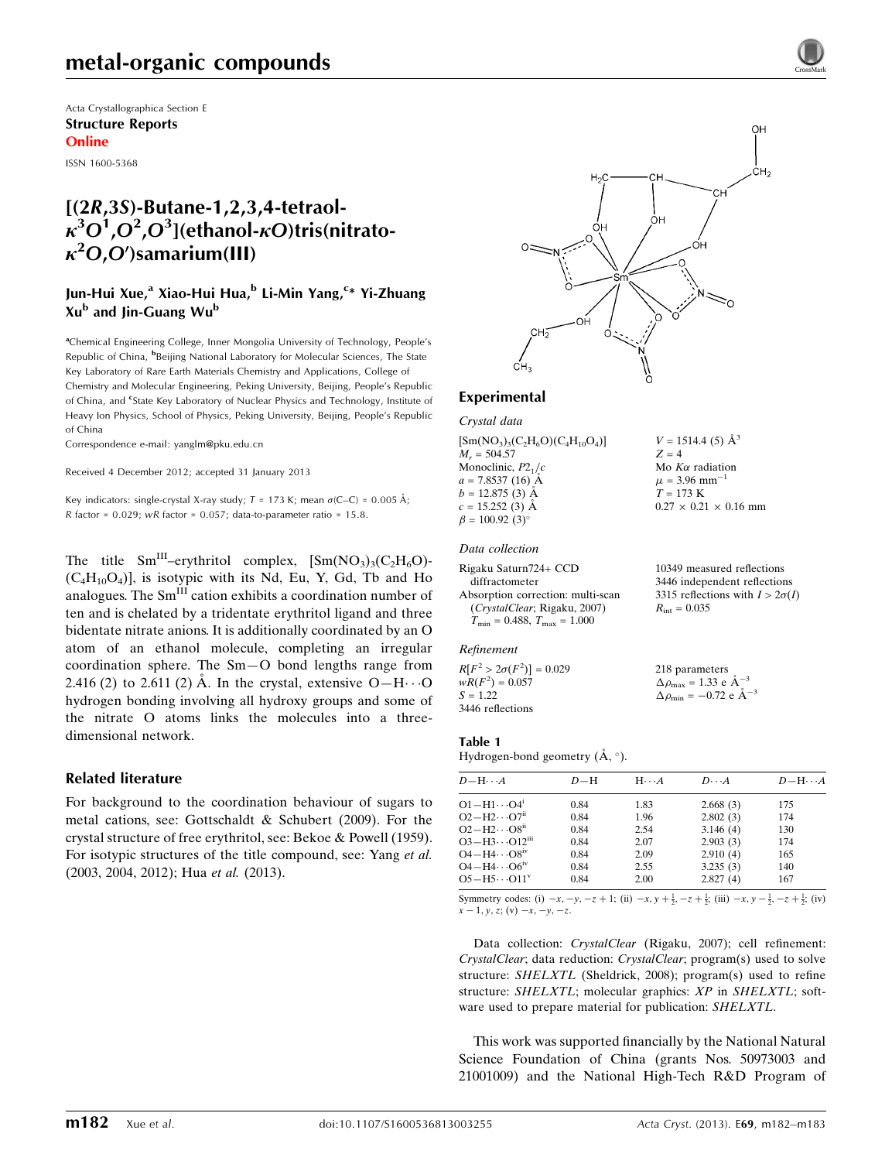Acta Crystallographica Section E Structure Reports Online

ISSN 1600-5368

## [(2R,3S)-Butane-1,2,3,4-tetraol- $\kappa^3O^1$ , $O^2$ , $O^3$ ](ethanol- $\kappa O$ )tris(nitrato- $\kappa^2$ O,O')samarium(III)

## Jun-Hui Xue,<sup>a</sup> Xiao-Hui Hua,<sup>b</sup> Li-Min Yang,<sup>c</sup>\* Yi-Zhuang  $Xu<sup>b</sup>$  and Jin-Guang Wu<sup>b</sup>

<sup>a</sup>Chemical Engineering College, Inner Mongolia University of Technology, People's Republic of China, <sup>b</sup>Beijing National Laboratory for Molecular Sciences, The State Key Laboratory of Rare Earth Materials Chemistry and Applications, College of Chemistry and Molecular Engineering, Peking University, Beijing, People's Republic of China, and <sup>e</sup>State Key Laboratory of Nuclear Physics and Technology, Institute of Heavy Ion Physics, School of Physics, Peking University, Beijing, People's Republic of China

Correspondence e-mail: [yanglm@pku.edu.cn](https://scripts.iucr.org/cgi-bin/cr.cgi?rm=pdfbb&cnor=wm2711&bbid=BB8)

Received 4 December 2012; accepted 31 January 2013

Key indicators: single-crystal X-ray study;  $T = 173$  K; mean  $\sigma$ (C–C) = 0.005 Å; R factor =  $0.029$ ; wR factor =  $0.057$ ; data-to-parameter ratio =  $15.8$ .

The title  $Sm^{III}$ –erythritol complex,  $[Sm(NO<sub>3</sub>)<sub>3</sub>(C<sub>2</sub>H<sub>6</sub>O)$ - $(C_4H_{10}O_4)$ , is isotypic with its Nd, Eu, Y, Gd, Tb and Ho analogues. The Sm<sup>III</sup> cation exhibits a coordination number of ten and is chelated by a tridentate erythritol ligand and three bidentate nitrate anions. It is additionally coordinated by an O atom of an ethanol molecule, completing an irregular coordination sphere. The Sm—O bond lengths range from 2.416 (2) to 2.611 (2) Å. In the crystal, extensive  $O-H \cdots O$ hydrogen bonding involving all hydroxy groups and some of the nitrate O atoms links the molecules into a threedimensional network.

### Related literature

For background to the coordination behaviour of sugars to metal cations, see: Gottschaldt & Schubert (2009). For the crystal structure of free erythritol, see: Bekoe & Powell (1959). For isotypic structures of the title compound, see: Yang et al. (2003, 2004, 2012); Hua et al. (2013).



Experimental

Crystal data

 $[\text{Sm}(\text{NO}_3)_3(\text{C}_2\text{H}_6\text{O})(\text{C}_4\text{H}_{10}\text{O}_4)]$  $M_r = 504.57$ Monoclinic,  $P2<sub>1</sub>/c$  $a = 7.8537(16)$  Å  $b = 12.875(3)$  Å  $c = 15.252(3)$  Å  $\beta = 100.92$  (3)<sup>o</sup>

#### Data collection

```
Rigaku Saturn724+ CCD
  diffractometer
Absorption correction: multi-scan
  (CrystalClear; Rigaku, 2007)
  T_{\text{min}} = 0.488, T_{\text{max}} = 1.00010349 measured reflections
                                              3446 independent reflections
                                              3315 reflections with I > 2\sigma(I)R_{\text{int}} = 0.035
```
#### Refinement

 $R[F^2 > 2\sigma(F^2)] = 0.029$  $wR(F^2) = 0.057$  $S = 1.22$ 3446 reflections

218 parameters  $\Delta \rho_{\text{max}} = 1.33 \text{ e A}^{-3}$  $\Delta \rho_{\text{min}} = -0.72 \text{ e } \text{\AA}^{-3}$ 

 $V = 1514.4$  (5)  $\AA^3$ 

Mo  $K\alpha$  radiation  $\mu$  = 3.96 mm<sup>-</sup>  $T = 173 K$ 

 $0.27 \times 0.21 \times 0.16$  mm

 $Z = 4$ 

### Table 1

Hydrogen-bond geometry  $(A, \circ)$ .

| $D - H \cdots A$                    | $D-H$ | $H \cdots A$ | $D\cdots A$ | $D - H \cdots A$ |
|-------------------------------------|-------|--------------|-------------|------------------|
| $O1 - H1 \cdots O4$ <sup>i</sup>    | 0.84  | 1.83         | 2.668(3)    | 175              |
| $O2-H2\cdots O7n$                   | 0.84  | 1.96         | 2.802(3)    | 174              |
| $O2-H2\cdots O8$ <sup>ii</sup>      | 0.84  | 2.54         | 3.146(4)    | 130              |
| $O3 - H3 \cdots O12$ <sup>iii</sup> | 0.84  | 2.07         | 2.903(3)    | 174              |
| $O4 - H4 \cdots O8$ <sup>iv</sup>   | 0.84  | 2.09         | 2.910(4)    | 165              |
| $O4 - H4 \cdots O6^{iv}$            | 0.84  | 2.55         | 3.235(3)    | 140              |
| $O5-H5\cdots O11v$                  | 0.84  | 2.00         | 2.827(4)    | 167              |

Symmetry codes: (i)  $-x, -y, -z + 1$ ; (ii)  $-x, y + \frac{1}{2}, -z + \frac{1}{2}$ ; (iii)  $-x, y - \frac{1}{2}, -z + \frac{1}{2}$ ; (iv)  $x - 1$ , y, z; (v)  $-x$ ,  $-y$ ,  $-z$ .

Data collection: CrystalClear (Rigaku, 2007); cell refinement: CrystalClear; data reduction: CrystalClear; program(s) used to solve structure: SHELXTL (Sheldrick, 2008); program(s) used to refine structure: SHELXTL; molecular graphics: XP in SHELXTL; software used to prepare material for publication: SHELXTL.

This work was supported financially by the National Natural Science Foundation of China (grants Nos. 50973003 and 21001009) and the National High-Tech R&D Program of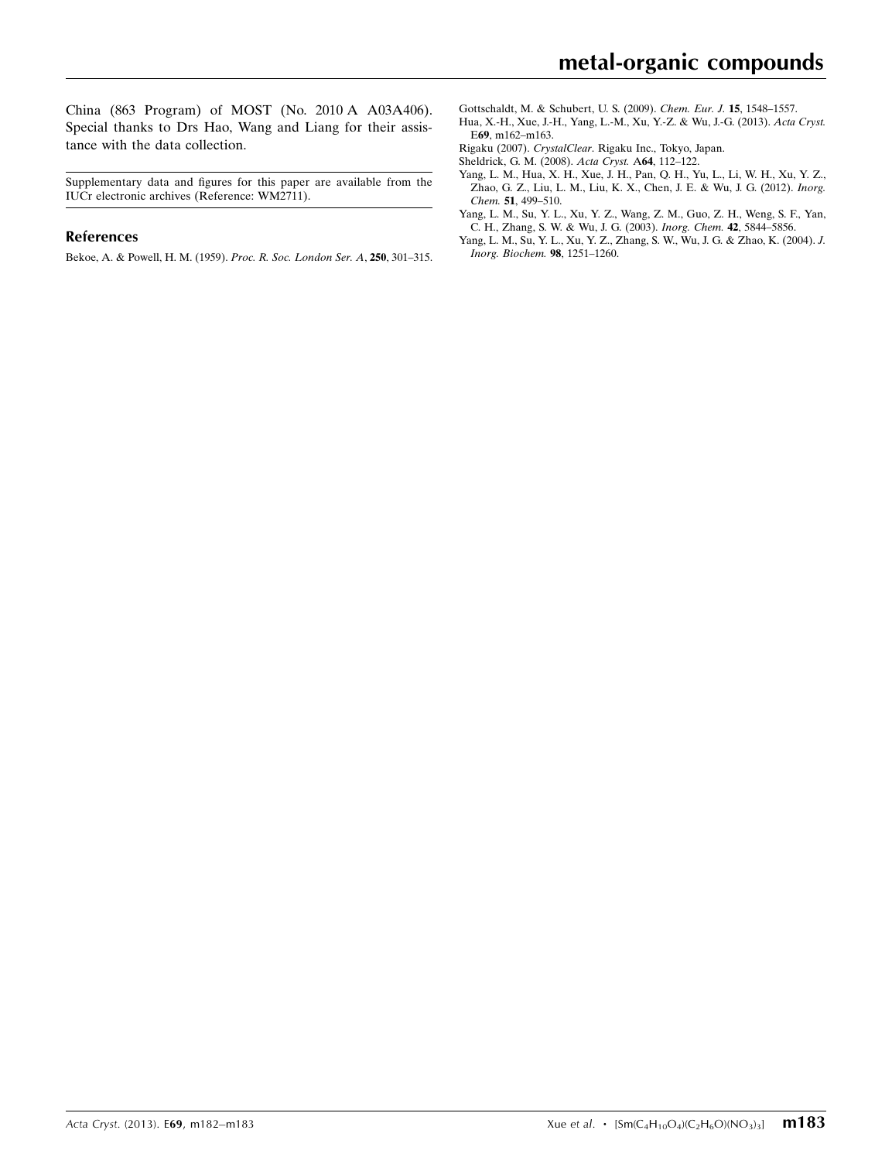China (863 Program) of MOST (No. 2010 A A03A406). Special thanks to Drs Hao, Wang and Liang for their assistance with the data collection.

Supplementary data and figures for this paper are available from the IUCr electronic archives (Reference: WM2711).

#### References

[Bekoe, A. & Powell, H. M. \(1959\).](https://scripts.iucr.org/cgi-bin/cr.cgi?rm=pdfbb&cnor=wm2711&bbid=BB1) Proc. R. Soc. London Ser. A, 250, 301–315.

- [Gottschaldt, M. & Schubert, U. S. \(2009\).](https://scripts.iucr.org/cgi-bin/cr.cgi?rm=pdfbb&cnor=wm2711&bbid=BB2) Chem. Eur. J. 15, 1548–1557.
- [Hua, X.-H., Xue, J.-H., Yang, L.-M., Xu, Y.-Z. & Wu, J.-G. \(2013\).](https://scripts.iucr.org/cgi-bin/cr.cgi?rm=pdfbb&cnor=wm2711&bbid=BB3) Acta Cryst. E69[, m162–m163.](https://scripts.iucr.org/cgi-bin/cr.cgi?rm=pdfbb&cnor=wm2711&bbid=BB3)
- Rigaku (2007). CrystalClear[. Rigaku Inc., Tokyo, Japan.](https://scripts.iucr.org/cgi-bin/cr.cgi?rm=pdfbb&cnor=wm2711&bbid=BB4)
- [Sheldrick, G. M. \(2008\).](https://scripts.iucr.org/cgi-bin/cr.cgi?rm=pdfbb&cnor=wm2711&bbid=BB5) Acta Cryst. A64, 112–122.
- [Yang, L. M., Hua, X. H., Xue, J. H., Pan, Q. H., Yu, L., Li, W. H., Xu, Y. Z.,](https://scripts.iucr.org/cgi-bin/cr.cgi?rm=pdfbb&cnor=wm2711&bbid=BB6) [Zhao, G. Z., Liu, L. M., Liu, K. X., Chen, J. E. & Wu, J. G. \(2012\).](https://scripts.iucr.org/cgi-bin/cr.cgi?rm=pdfbb&cnor=wm2711&bbid=BB6) Inorg. Chem. 51[, 499–510.](https://scripts.iucr.org/cgi-bin/cr.cgi?rm=pdfbb&cnor=wm2711&bbid=BB6)
- [Yang, L. M., Su, Y. L., Xu, Y. Z., Wang, Z. M., Guo, Z. H., Weng, S. F., Yan,](https://scripts.iucr.org/cgi-bin/cr.cgi?rm=pdfbb&cnor=wm2711&bbid=BB7) [C. H., Zhang, S. W. & Wu, J. G. \(2003\).](https://scripts.iucr.org/cgi-bin/cr.cgi?rm=pdfbb&cnor=wm2711&bbid=BB7) Inorg. Chem. 42, 5844–5856.
- [Yang, L. M., Su, Y. L., Xu, Y. Z., Zhang, S. W., Wu, J. G. & Zhao, K. \(2004\).](https://scripts.iucr.org/cgi-bin/cr.cgi?rm=pdfbb&cnor=wm2711&bbid=BB8) J. [Inorg. Biochem.](https://scripts.iucr.org/cgi-bin/cr.cgi?rm=pdfbb&cnor=wm2711&bbid=BB8) 98, 1251–1260.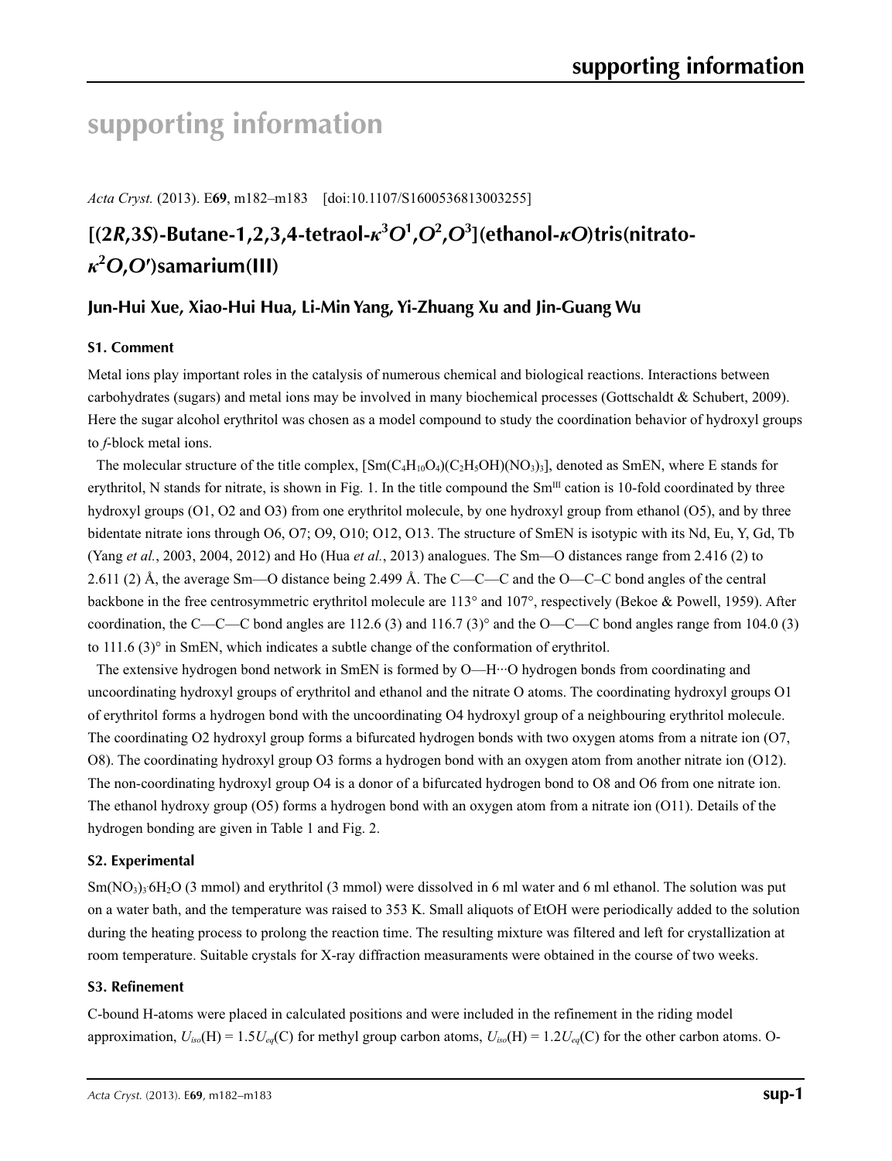# **supporting information**

*Acta Cryst.* (2013). E**69**, m182–m183 [doi:10.1107/S1600536813003255]

## $[(2R,3S)$ -Butane-1,2,3,4-tetraol- $\kappa$ <sup>3</sup> $O$ <sup>1</sup>, $O$ <sup>2</sup>, $O$ <sup>3</sup>](ethanol- $\kappa$ O)tris(nitrato*κ***2** *O***,***O***′)samarium(III)**

## **Jun-Hui Xue, Xiao-Hui Hua, Li-Min Yang, Yi-Zhuang Xu and Jin-Guang Wu**

## **S1. Comment**

Metal ions play important roles in the catalysis of numerous chemical and biological reactions. Interactions between carbohydrates (sugars) and metal ions may be involved in many biochemical processes (Gottschaldt & Schubert, 2009). Here the sugar alcohol erythritol was chosen as a model compound to study the coordination behavior of hydroxyl groups to *f*-block metal ions.

The molecular structure of the title complex,  $[Sm(C_4H_{10}O_4)(C_2H_5OH)(NO_3)]$ , denoted as SmEN, where E stands for erythritol, N stands for nitrate, is shown in Fig. 1. In the title compound the  $Sm<sup>III</sup>$  cation is 10-fold coordinated by three hydroxyl groups (O1, O2 and O3) from one erythritol molecule, by one hydroxyl group from ethanol (O5), and by three bidentate nitrate ions through O6, O7; O9, O10; O12, O13. The structure of SmEN is isotypic with its Nd, Eu, Y, Gd, Tb (Yang *et al.*, 2003, 2004, 2012) and Ho (Hua *et al.*, 2013) analogues. The Sm—O distances range from 2.416 (2) to 2.611 (2) Å, the average Sm—O distance being 2.499 Å. The C—C—C and the O—C–C bond angles of the central backbone in the free centrosymmetric erythritol molecule are 113° and 107°, respectively (Bekoe & Powell, 1959). After coordination, the C—C—C bond angles are 112.6 (3) and 116.7 (3)° and the O—C—C bond angles range from 104.0 (3) to  $111.6$  (3) $\degree$  in SmEN, which indicates a subtle change of the conformation of erythritol.

The extensive hydrogen bond network in SmEN is formed by O—H···O hydrogen bonds from coordinating and uncoordinating hydroxyl groups of erythritol and ethanol and the nitrate O atoms. The coordinating hydroxyl groups O1 of erythritol forms a hydrogen bond with the uncoordinating O4 hydroxyl group of a neighbouring erythritol molecule. The coordinating O2 hydroxyl group forms a bifurcated hydrogen bonds with two oxygen atoms from a nitrate ion (O7, O8). The coordinating hydroxyl group O3 forms a hydrogen bond with an oxygen atom from another nitrate ion (O12). The non-coordinating hydroxyl group O4 is a donor of a bifurcated hydrogen bond to O8 and O6 from one nitrate ion. The ethanol hydroxy group (O5) forms a hydrogen bond with an oxygen atom from a nitrate ion (O11). Details of the hydrogen bonding are given in Table 1 and Fig. 2.

## **S2. Experimental**

Sm(NO<sub>3</sub>)<sub>3</sub> 6H<sub>2</sub>O (3 mmol) and erythritol (3 mmol) were dissolved in 6 ml water and 6 ml ethanol. The solution was put on a water bath, and the temperature was raised to 353 K. Small aliquots of EtOH were periodically added to the solution during the heating process to prolong the reaction time. The resulting mixture was filtered and left for crystallization at room temperature. Suitable crystals for X-ray diffraction measuraments were obtained in the course of two weeks.

### **S3. Refinement**

C-bound H-atoms were placed in calculated positions and were included in the refinement in the riding model approximation,  $U_{iso}(H) = 1.5U_{eq}(C)$  for methyl group carbon atoms,  $U_{iso}(H) = 1.2U_{eq}(C)$  for the other carbon atoms. O-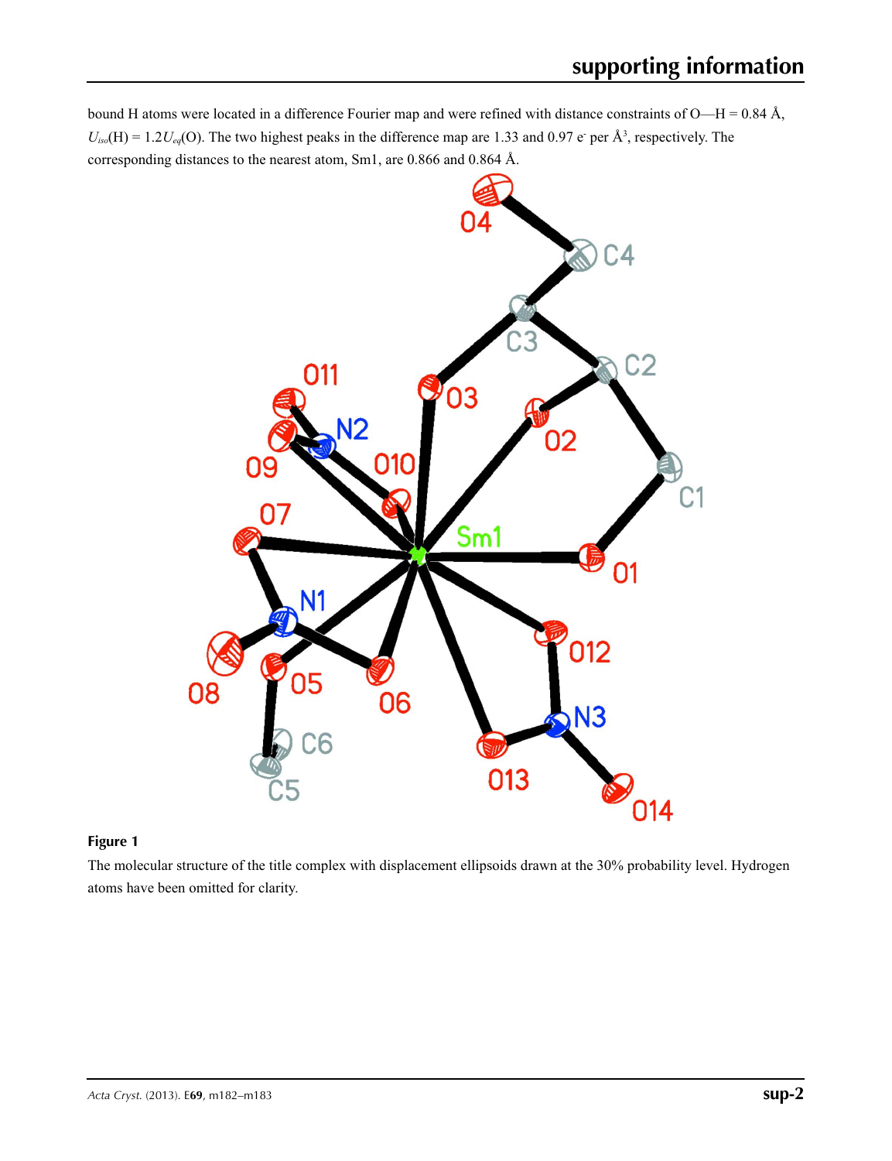bound H atoms were located in a difference Fourier map and were refined with distance constraints of O—H = 0.84 Å,  $U_{iso}(H) = 1.2 U_{eq}(O)$ . The two highest peaks in the difference map are 1.33 and 0.97 e-per  $\AA^3$ , respectively. The corresponding distances to the nearest atom, Sm1, are 0.866 and 0.864 Å.



## **Figure 1**

The molecular structure of the title complex with displacement ellipsoids drawn at the 30% probability level. Hydrogen atoms have been omitted for clarity.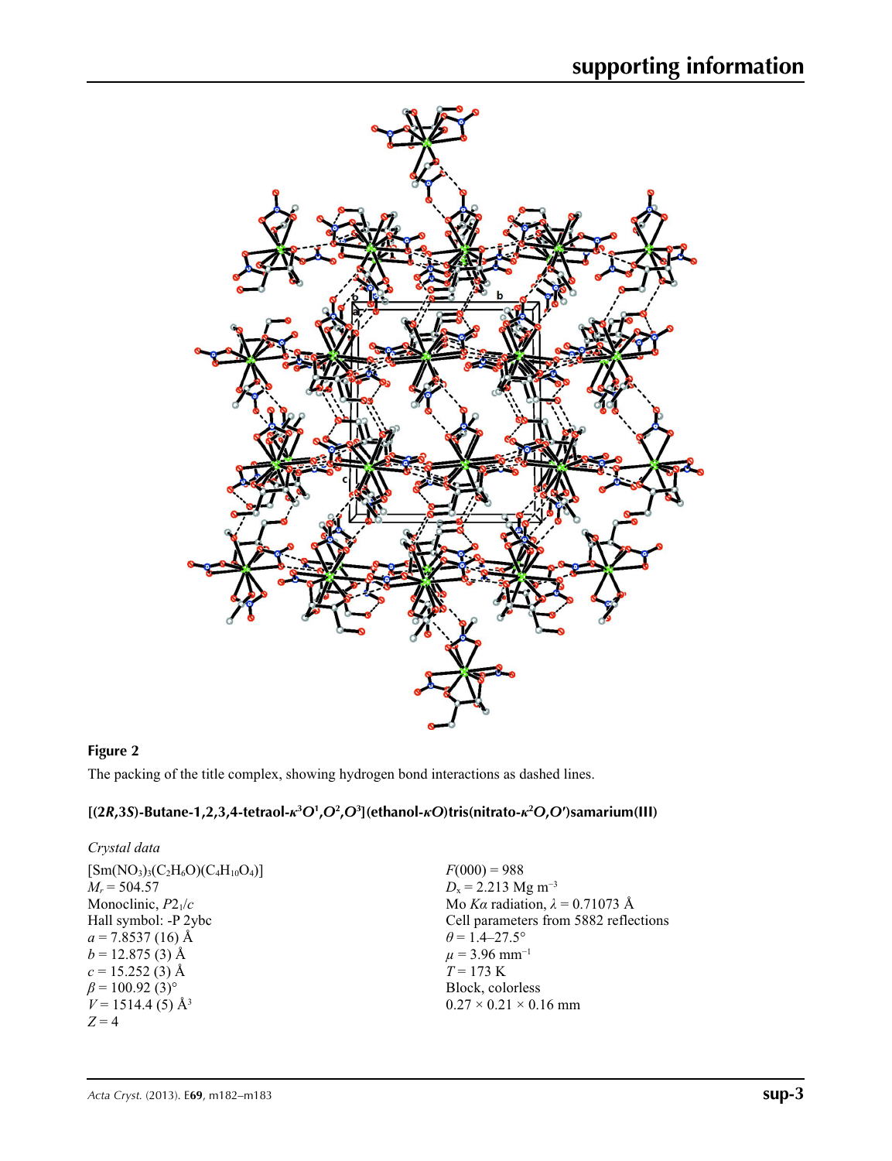

## **Figure 2**

The packing of the title complex, showing hydrogen bond interactions as dashed lines.

## [(2R,3S)-Butane-1,2,3,4-tetraol- $\kappa^3O^1$ , $O^2$ , $O^3$ ](ethanol- $\kappa O$ )tris(nitrato- $\kappa^2 O$ , $O'$ )samarium(III)

| $F(000) = 988$                         |
|----------------------------------------|
| $D_x = 2.213$ Mg m <sup>-3</sup>       |
| Mo Ka radiation, $\lambda = 0.71073$ Å |
| Cell parameters from 5882 reflections  |
| $\theta$ = 1.4–27.5°                   |
| $\mu$ = 3.96 mm <sup>-1</sup>          |
| $T = 173 \text{ K}$                    |
| Block, colorless                       |
| $0.27 \times 0.21 \times 0.16$ mm      |
|                                        |
|                                        |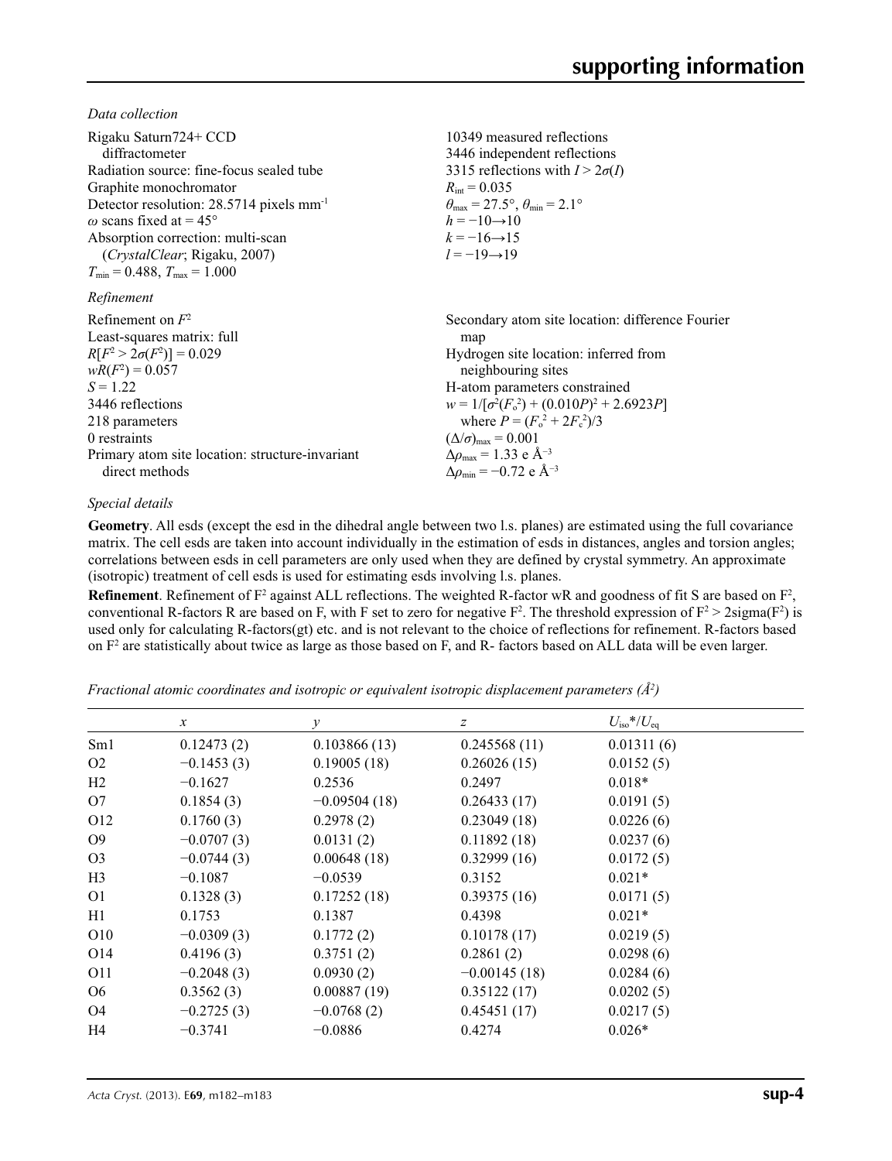*Data collection*

| Rigaku Saturn724+ CCD<br>diffractometer<br>Radiation source: fine-focus sealed tube<br>Graphite monochromator<br>Detector resolution: $28.5714$ pixels mm <sup>-1</sup><br>$\omega$ scans fixed at = 45°<br>Absorption correction: multi-scan<br><i>(CrystalClear</i> ; Rigaku, 2007)<br>$T_{\min} = 0.488$ , $T_{\max} = 1.000$ | 10349 measured reflections<br>3446 independent reflections<br>3315 reflections with $I > 2\sigma(I)$<br>$R_{\text{int}} = 0.035$<br>$\theta_{\text{max}} = 27.5^{\circ}, \theta_{\text{min}} = 2.1^{\circ}$<br>$h = -10 \rightarrow 10$<br>$k = -16 \rightarrow 15$<br>$l = -19 \rightarrow 19$                                                                                                            |
|----------------------------------------------------------------------------------------------------------------------------------------------------------------------------------------------------------------------------------------------------------------------------------------------------------------------------------|------------------------------------------------------------------------------------------------------------------------------------------------------------------------------------------------------------------------------------------------------------------------------------------------------------------------------------------------------------------------------------------------------------|
| Refinement                                                                                                                                                                                                                                                                                                                       |                                                                                                                                                                                                                                                                                                                                                                                                            |
| Refinement on $F^2$<br>Least-squares matrix: full<br>$R[F^2 > 2\sigma(F^2)] = 0.029$<br>$wR(F^2) = 0.057$<br>$S = 1.22$<br>3446 reflections<br>218 parameters<br>0 restraints<br>Primary atom site location: structure-invariant<br>direct methods                                                                               | Secondary atom site location: difference Fourier<br>map<br>Hydrogen site location: inferred from<br>neighbouring sites<br>H-atom parameters constrained<br>$w = 1/[\sigma^2(F_0^2) + (0.010P)^2 + 2.6923P]$<br>where $P = (F_0^2 + 2F_c^2)/3$<br>$(\Delta/\sigma)_{\text{max}} = 0.001$<br>$\Delta\rho_{\text{max}} = 1.33 \text{ e } \text{\AA}^{-3}$<br>$\Delta\rho_{\rm min} = -0.72$ e Å <sup>-3</sup> |

## *Special details*

**Geometry**. All esds (except the esd in the dihedral angle between two l.s. planes) are estimated using the full covariance matrix. The cell esds are taken into account individually in the estimation of esds in distances, angles and torsion angles; correlations between esds in cell parameters are only used when they are defined by crystal symmetry. An approximate (isotropic) treatment of cell esds is used for estimating esds involving l.s. planes.

**Refinement**. Refinement of  $F^2$  against ALL reflections. The weighted R-factor wR and goodness of fit S are based on  $F^2$ , conventional R-factors R are based on F, with F set to zero for negative  $F^2$ . The threshold expression of  $F^2 > 2 \text{sigma}(F^2)$  is used only for calculating R-factors(gt) etc. and is not relevant to the choice of reflections for refinement. R-factors based on  $F<sup>2</sup>$  are statistically about twice as large as those based on F, and R- factors based on ALL data will be even larger.

*Fractional atomic coordinates and isotropic or equivalent isotropic displacement parameters (Å<sup>2</sup>)* 

|                 | $\mathcal{X}$ | $\mathcal{Y}$  | $\mathcal{Z}$  | $U_{\rm iso}$ */ $U_{\rm eq}$ |  |
|-----------------|---------------|----------------|----------------|-------------------------------|--|
| Sm1             | 0.12473(2)    | 0.103866(13)   | 0.245568(11)   | 0.01311(6)                    |  |
| O <sub>2</sub>  | $-0.1453(3)$  | 0.19005(18)    | 0.26026(15)    | 0.0152(5)                     |  |
| H2              | $-0.1627$     | 0.2536         | 0.2497         | $0.018*$                      |  |
| O7              | 0.1854(3)     | $-0.09504(18)$ | 0.26433(17)    | 0.0191(5)                     |  |
| O <sub>12</sub> | 0.1760(3)     | 0.2978(2)      | 0.23049(18)    | 0.0226(6)                     |  |
| O <sub>9</sub>  | $-0.0707(3)$  | 0.0131(2)      | 0.11892(18)    | 0.0237(6)                     |  |
| O <sub>3</sub>  | $-0.0744(3)$  | 0.00648(18)    | 0.32999(16)    | 0.0172(5)                     |  |
| H <sub>3</sub>  | $-0.1087$     | $-0.0539$      | 0.3152         | $0.021*$                      |  |
| O <sub>1</sub>  | 0.1328(3)     | 0.17252(18)    | 0.39375(16)    | 0.0171(5)                     |  |
| H1              | 0.1753        | 0.1387         | 0.4398         | $0.021*$                      |  |
| O <sub>10</sub> | $-0.0309(3)$  | 0.1772(2)      | 0.10178(17)    | 0.0219(5)                     |  |
| O <sub>14</sub> | 0.4196(3)     | 0.3751(2)      | 0.2861(2)      | 0.0298(6)                     |  |
| O11             | $-0.2048(3)$  | 0.0930(2)      | $-0.00145(18)$ | 0.0284(6)                     |  |
| O <sub>6</sub>  | 0.3562(3)     | 0.00887(19)    | 0.35122(17)    | 0.0202(5)                     |  |
| O4              | $-0.2725(3)$  | $-0.0768(2)$   | 0.45451(17)    | 0.0217(5)                     |  |
| H4              | $-0.3741$     | $-0.0886$      | 0.4274         | $0.026*$                      |  |
|                 |               |                |                |                               |  |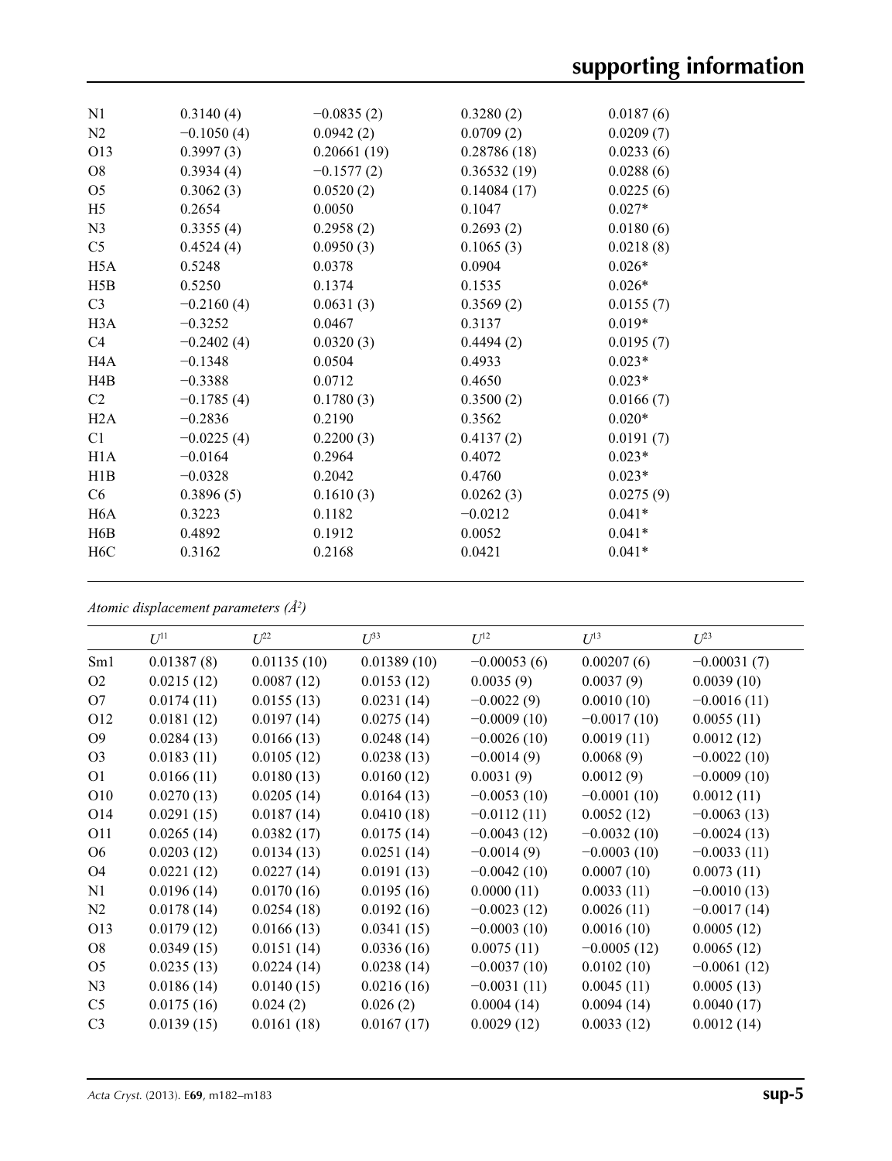| N1               | 0.3140(4)    | $-0.0835(2)$ | 0.3280(2)   | 0.0187(6) |  |
|------------------|--------------|--------------|-------------|-----------|--|
| N2               | $-0.1050(4)$ | 0.0942(2)    | 0.0709(2)   | 0.0209(7) |  |
| O13              | 0.3997(3)    | 0.20661(19)  | 0.28786(18) | 0.0233(6) |  |
| O <sub>8</sub>   | 0.3934(4)    | $-0.1577(2)$ | 0.36532(19) | 0.0288(6) |  |
| O <sub>5</sub>   | 0.3062(3)    | 0.0520(2)    | 0.14084(17) | 0.0225(6) |  |
| H <sub>5</sub>   | 0.2654       | 0.0050       | 0.1047      | $0.027*$  |  |
| N <sub>3</sub>   | 0.3355(4)    | 0.2958(2)    | 0.2693(2)   | 0.0180(6) |  |
| C <sub>5</sub>   | 0.4524(4)    | 0.0950(3)    | 0.1065(3)   | 0.0218(8) |  |
| H <sub>5</sub> A | 0.5248       | 0.0378       | 0.0904      | $0.026*$  |  |
| H5B              | 0.5250       | 0.1374       | 0.1535      | $0.026*$  |  |
| C <sub>3</sub>   | $-0.2160(4)$ | 0.0631(3)    | 0.3569(2)   | 0.0155(7) |  |
| H3A              | $-0.3252$    | 0.0467       | 0.3137      | $0.019*$  |  |
| C <sub>4</sub>   | $-0.2402(4)$ | 0.0320(3)    | 0.4494(2)   | 0.0195(7) |  |
| H <sub>4</sub> A | $-0.1348$    | 0.0504       | 0.4933      | $0.023*$  |  |
| H4B              | $-0.3388$    | 0.0712       | 0.4650      | $0.023*$  |  |
| C2               | $-0.1785(4)$ | 0.1780(3)    | 0.3500(2)   | 0.0166(7) |  |
| H2A              | $-0.2836$    | 0.2190       | 0.3562      | $0.020*$  |  |
| C1               | $-0.0225(4)$ | 0.2200(3)    | 0.4137(2)   | 0.0191(7) |  |
| H1A              | $-0.0164$    | 0.2964       | 0.4072      | $0.023*$  |  |
| H1B              | $-0.0328$    | 0.2042       | 0.4760      | $0.023*$  |  |
| C <sub>6</sub>   | 0.3896(5)    | 0.1610(3)    | 0.0262(3)   | 0.0275(9) |  |
| H6A              | 0.3223       | 0.1182       | $-0.0212$   | $0.041*$  |  |
| H6B              | 0.4892       | 0.1912       | 0.0052      | $0.041*$  |  |
| H <sub>6</sub> C | 0.3162       | 0.2168       | 0.0421      | $0.041*$  |  |
|                  |              |              |             |           |  |

*Atomic displacement parameters (Å2 )*

|                 | $U^{11}$   | $U^{22}$    | $U^{33}$    | $U^{12}$      | $U^{13}$      | $U^{23}$      |
|-----------------|------------|-------------|-------------|---------------|---------------|---------------|
| Sm <sub>1</sub> | 0.01387(8) | 0.01135(10) | 0.01389(10) | $-0.00053(6)$ | 0.00207(6)    | $-0.00031(7)$ |
| O <sub>2</sub>  | 0.0215(12) | 0.0087(12)  | 0.0153(12)  | 0.0035(9)     | 0.0037(9)     | 0.0039(10)    |
| O7              | 0.0174(11) | 0.0155(13)  | 0.0231(14)  | $-0.0022(9)$  | 0.0010(10)    | $-0.0016(11)$ |
| O12             | 0.0181(12) | 0.0197(14)  | 0.0275(14)  | $-0.0009(10)$ | $-0.0017(10)$ | 0.0055(11)    |
| O <sub>9</sub>  | 0.0284(13) | 0.0166(13)  | 0.0248(14)  | $-0.0026(10)$ | 0.0019(11)    | 0.0012(12)    |
| O <sub>3</sub>  | 0.0183(11) | 0.0105(12)  | 0.0238(13)  | $-0.0014(9)$  | 0.0068(9)     | $-0.0022(10)$ |
| O <sub>1</sub>  | 0.0166(11) | 0.0180(13)  | 0.0160(12)  | 0.0031(9)     | 0.0012(9)     | $-0.0009(10)$ |
| O10             | 0.0270(13) | 0.0205(14)  | 0.0164(13)  | $-0.0053(10)$ | $-0.0001(10)$ | 0.0012(11)    |
| O14             | 0.0291(15) | 0.0187(14)  | 0.0410(18)  | $-0.0112(11)$ | 0.0052(12)    | $-0.0063(13)$ |
| O11             | 0.0265(14) | 0.0382(17)  | 0.0175(14)  | $-0.0043(12)$ | $-0.0032(10)$ | $-0.0024(13)$ |
| O <sub>6</sub>  | 0.0203(12) | 0.0134(13)  | 0.0251(14)  | $-0.0014(9)$  | $-0.0003(10)$ | $-0.0033(11)$ |
| O <sub>4</sub>  | 0.0221(12) | 0.0227(14)  | 0.0191(13)  | $-0.0042(10)$ | 0.0007(10)    | 0.0073(11)    |
| N1              | 0.0196(14) | 0.0170(16)  | 0.0195(16)  | 0.0000(11)    | 0.0033(11)    | $-0.0010(13)$ |
| N2              | 0.0178(14) | 0.0254(18)  | 0.0192(16)  | $-0.0023(12)$ | 0.0026(11)    | $-0.0017(14)$ |
| O13             | 0.0179(12) | 0.0166(13)  | 0.0341(15)  | $-0.0003(10)$ | 0.0016(10)    | 0.0005(12)    |
| O <sub>8</sub>  | 0.0349(15) | 0.0151(14)  | 0.0336(16)  | 0.0075(11)    | $-0.0005(12)$ | 0.0065(12)    |
| O <sub>5</sub>  | 0.0235(13) | 0.0224(14)  | 0.0238(14)  | $-0.0037(10)$ | 0.0102(10)    | $-0.0061(12)$ |
| N <sub>3</sub>  | 0.0186(14) | 0.0140(15)  | 0.0216(16)  | $-0.0031(11)$ | 0.0045(11)    | 0.0005(13)    |
| C <sub>5</sub>  | 0.0175(16) | 0.024(2)    | 0.026(2)    | 0.0004(14)    | 0.0094(14)    | 0.0040(17)    |
| C <sub>3</sub>  | 0.0139(15) | 0.0161(18)  | 0.0167(17)  | 0.0029(12)    | 0.0033(12)    | 0.0012(14)    |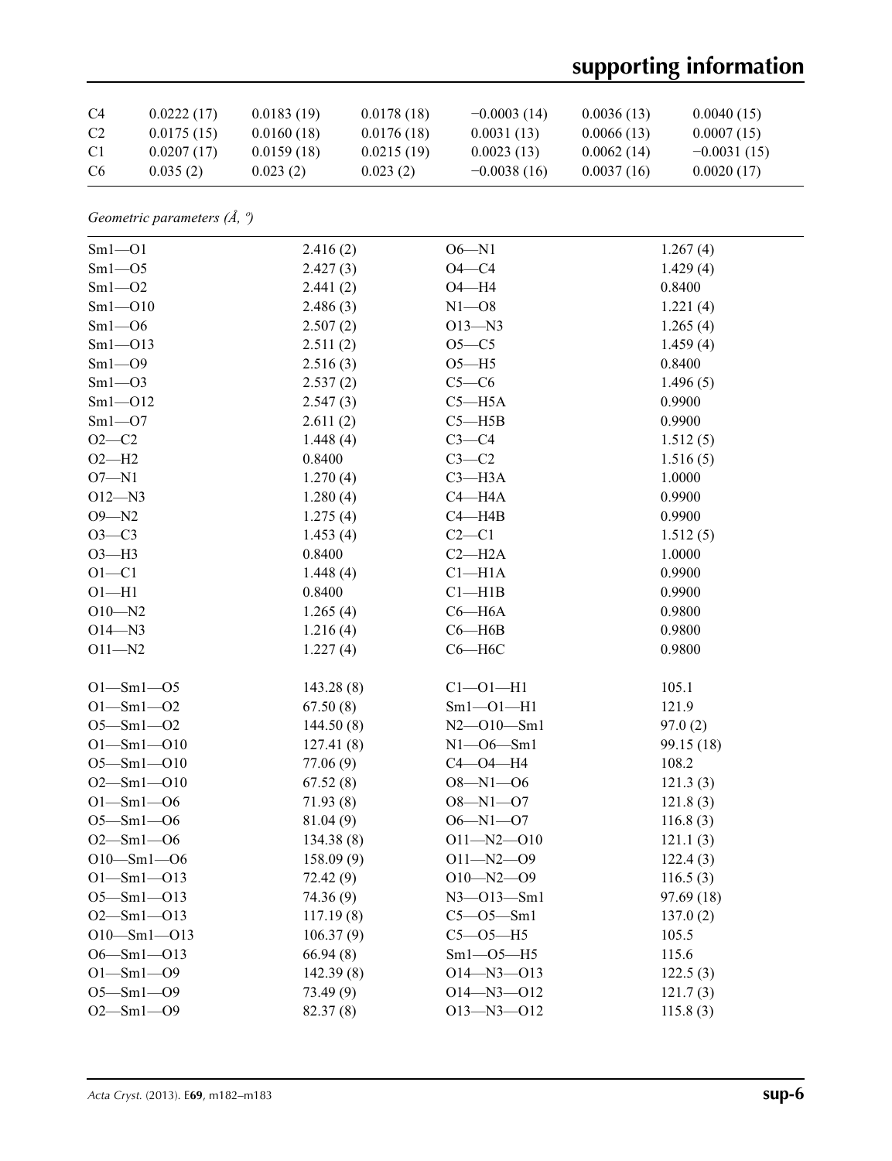# **supporting information**

| C <sub>4</sub> | 0.0222(17) | 0.0183(19) | 0.0178(18) | $-0.0003(14)$ | 0.0036(13) | 0.0040(15)    |
|----------------|------------|------------|------------|---------------|------------|---------------|
| C <sub>2</sub> | 0.0175(15) | 0.0160(18) | 0.0176(18) | 0.0031(13)    | 0.0066(13) | 0.0007(15)    |
| C <sub>1</sub> | 0.0207(17) | 0.0159(18) | 0.0215(19) | 0.0023(13)    | 0.0062(14) | $-0.0031(15)$ |
| C <sub>6</sub> | 0.035(2)   | 0.023(2)   | 0.023(2)   | $-0.0038(16)$ | 0.0037(16) | 0.0020(17)    |

| Geometric parameters $(\AA, \theta)$ |  |  |
|--------------------------------------|--|--|
|--------------------------------------|--|--|

| $Sm1 - O1$        | 2.416(2)  | $O6 - N1$        | 1.267(4)   |
|-------------------|-----------|------------------|------------|
| $Sm1 - O5$        | 2.427(3)  | $O4 - C4$        | 1.429(4)   |
| $Sm1 - O2$        | 2.441(2)  | $O4 - H4$        | 0.8400     |
| $Sm1 - O10$       | 2.486(3)  | $N1 - 08$        | 1.221(4)   |
| $Sm1 - O6$        | 2.507(2)  | $O13 - N3$       | 1.265(4)   |
| $Sm1 - O13$       | 2.511(2)  | $O5 - C5$        | 1.459(4)   |
| $Sm1 - O9$        | 2.516(3)  | $O5 - H5$        | 0.8400     |
| $Sm1 - O3$        | 2.537(2)  | $C5-C6$          | 1.496(5)   |
| $Sm1 - O12$       | 2.547(3)  | $C5 - H5A$       | 0.9900     |
| $Sm1 - O7$        | 2.611(2)  | $C5 - H5B$       | 0.9900     |
| $O2 - C2$         | 1.448(4)  | $C3-C4$          | 1.512(5)   |
| $O2-H2$           | 0.8400    | $C3-C2$          | 1.516(5)   |
| $O7 - N1$         | 1.270(4)  | $C3 - H3A$       | 1.0000     |
| $O12 - N3$        | 1.280(4)  | $C4 - H4A$       | 0.9900     |
| $O9 - N2$         | 1.275(4)  | $C4 - H4B$       | 0.9900     |
| $O3-C3$           | 1.453(4)  | $C2-C1$          | 1.512(5)   |
| $O3-H3$           | 0.8400    | $C2 - H2A$       | 1.0000     |
| $O1 - C1$         | 1.448(4)  | $Cl-H1A$         | 0.9900     |
| $O1 - H1$         | 0.8400    | Cl—H1B           | 0.9900     |
| $O10 - N2$        | 1.265(4)  | $C6 - H6A$       | 0.9800     |
| $O14 - N3$        | 1.216(4)  | $C6 - H6B$       | 0.9800     |
| $O11 - N2$        | 1.227(4)  | $C6 - H6C$       | 0.9800     |
| $O1 - Sm1 - O5$   | 143.28(8) | $Cl - O1 - H1$   | 105.1      |
| $O1 - Sm1 - O2$   | 67.50(8)  | $Sm1 - O1 - H1$  | 121.9      |
| $O5 - Sm1 - O2$   | 144.50(8) | $N2 - 010 - Sm1$ | 97.0(2)    |
| $O1 - Sml - O10$  | 127.41(8) | $N1 - 06 - Sm1$  | 99.15 (18) |
| $O5 - Sml - O10$  | 77.06 (9) | $C4 - O4 - H4$   | 108.2      |
| $O2 - Sm1 - O10$  | 67.52(8)  | $O8 - N1 - O6$   | 121.3(3)   |
| $O1 - Sml - O6$   | 71.93(8)  | $O8 - N1 - O7$   | 121.8(3)   |
| $O5 - Sm1 - O6$   | 81.04(9)  | $O6 - N1 - O7$   | 116.8(3)   |
| $O2 - Sml - O6$   | 134.38(8) | $O11 - N2 - O10$ | 121.1(3)   |
| $O10 - Sm1 - O6$  | 158.09(9) | $O11 - N2 - O9$  | 122.4(3)   |
| $O1 - Sml - O13$  | 72.42 (9) | $O10 - N2 - O9$  | 116.5(3)   |
| $O5 - Sm1 - O13$  | 74.36(9)  | $N3 - 013 - Sm1$ | 97.69(18)  |
| $O2 - Sml - O13$  | 117.19(8) | $C5 - 05 - Sm1$  | 137.0(2)   |
| $O10 - Sm1 - O13$ | 106.37(9) | $C5 - O5 - H5$   | 105.5      |
| $O6 - Sml - O13$  | 66.94(8)  | $Sm1 - O5 - H5$  | 115.6      |
| $O1 - Sml - O9$   | 142.39(8) | $O14 - N3 - O13$ | 122.5(3)   |
| $O5 - Sm1 - O9$   | 73.49(9)  | $O14 - N3 - O12$ | 121.7(3)   |
| $O2 - Sm1 - O9$   | 82.37(8)  | $O13 - N3 - O12$ | 115.8(3)   |
|                   |           |                  |            |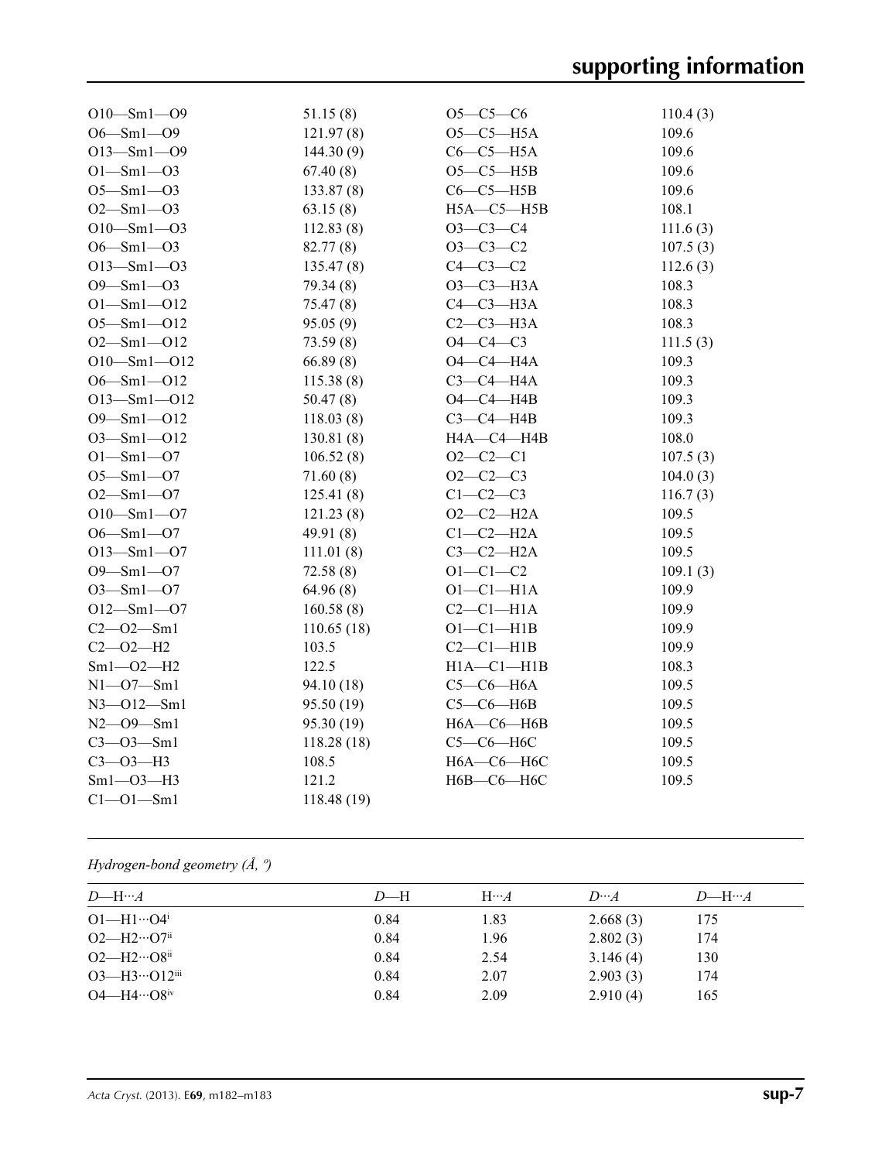| $O10 - Sm1 - O9$  | 51.15(8)    | $O5-C5-C6$       | 110.4(3) |
|-------------------|-------------|------------------|----------|
| $O6 - Sm1 - O9$   | 121.97(8)   | $O5-C5-H5A$      | 109.6    |
| $O13 - Sm1 - O9$  | 144.30(9)   | $C6-C5-H5A$      | 109.6    |
| $O1 - Sm1 - O3$   | 67.40(8)    | $O5-C5-H5B$      | 109.6    |
| $O5 - Sm1 - O3$   | 133.87(8)   | $C6-C5-H5B$      | 109.6    |
| $O2 - Sm1 - O3$   | 63.15(8)    | $H5A - C5 - H5B$ | 108.1    |
| $O10 - Sm1 - O3$  | 112.83(8)   | $O3-C3-C4$       | 111.6(3) |
| $O6 - Sm1 - O3$   | 82.77(8)    | $O3-C3-C2$       | 107.5(3) |
| $O13 - Sm1 - O3$  | 135.47(8)   | $C4-C3-C2$       | 112.6(3) |
| $O9 - Sm1 - O3$   | 79.34(8)    | ОЗ-СЗ-НЗА        | 108.3    |
| $O1 - Sm1 - O12$  | 75.47(8)    | $C4-C3-H3A$      | 108.3    |
| $O5 - Sm1 - O12$  | 95.05(9)    | $C2-C3-H3A$      | 108.3    |
| $O2 - Sm1 - O12$  | 73.59(8)    | $O4 - C4 - C3$   | 111.5(3) |
| $O10 - Sm1 - O12$ | 66.89(8)    | $O4-C4-H4A$      | 109.3    |
| $O6 - Sml - O12$  | 115.38(8)   | $C3-C4-H4A$      | 109.3    |
| $O13 - Sm1 - O12$ | 50.47(8)    | $O4 - C4 - H4B$  | 109.3    |
| $O9 - Sm1 - O12$  | 118.03(8)   | $C3-C4-HAB$      | 109.3    |
| $O3 - Sml - O12$  | 130.81(8)   | H4A-C4-H4B       | 108.0    |
| $O1 - Sm1 - O7$   | 106.52(8)   | $O2 - C2 - C1$   | 107.5(3) |
| $O5 - Sm1 - O7$   | 71.60(8)    | $O2 - C2 - C3$   | 104.0(3) |
| $O2 - Sm1 - O7$   | 125.41(8)   | $C1-C2-C3$       | 116.7(3) |
| $O10 - Sm1 - O7$  | 121.23(8)   | $O2-C2-H2A$      | 109.5    |
| $O6 - Sm1 - O7$   | 49.91 $(8)$ | $C1-C2-H2A$      | 109.5    |
| $O13 - Sm1 - O7$  | 111.01(8)   | $C3-C2-H2A$      | 109.5    |
| $O9 - Sml - O7$   | 72.58(8)    | $O1 - C1 - C2$   | 109.1(3) |
| $O3 - Sm1 - O7$   | 64.96(8)    | $O1-C1-H1A$      | 109.9    |
| $O12 - Sm1 - O7$  | 160.58(8)   | $C2-C1-H1A$      | 109.9    |
| $C2 - 02 - 5m1$   | 110.65(18)  | $O1 - C1 - H1B$  | 109.9    |
| $C2 - O2 - H2$    | 103.5       | $C2-C1-H1B$      | 109.9    |
| $Sm1 - O2 - H2$   | 122.5       | $H1A - C1 - H1B$ | 108.3    |
| $N1 - 07 - Sm1$   | 94.10 (18)  | $C5-C6-H6A$      | 109.5    |
| $N3 - 012 - Sm1$  | 95.50 (19)  | $C5-C6-HAB$      | 109.5    |
| $N2 - 09 - Sm1$   | 95.30 (19)  | $H6A - C6 - H6B$ | 109.5    |
| $C3 - O3 - Sm1$   | 118.28(18)  | $C5-C6-H6C$      | 109.5    |
| $C3 - O3 - H3$    | 108.5       | Н6А-С6-Н6С       | 109.5    |
| $Sm1 - O3 - H3$   | 121.2       | Н6В-С6-Н6С       | 109.5    |
| $C1 - 01 - Sm1$   | 118.48 (19) |                  |          |

*Hydrogen-bond geometry (Å, º)*

| $D$ —H… $A$                         | $D$ —H | $H \cdots A$ | $D\cdots A$ | $D$ —H… $A$ |
|-------------------------------------|--------|--------------|-------------|-------------|
| $O1 - H1 \cdots O4$                 | 0.84   | 1.83         | 2.668(3)    | 175         |
| $O2$ —H $2 \cdots$ O7 <sup>ii</sup> | 0.84   | 1.96         | 2.802(3)    | 174         |
| $O2$ —H $2 \cdots O8$ <sup>ii</sup> | 0.84   | 2.54         | 3.146(4)    | 130         |
| $O3$ —H $3$ … $O12$ iii             | 0.84   | 2.07         | 2.903(3)    | 174         |
| $O4 - H4 \cdots O8$ iv              | 0.84   | 2.09         | 2.910(4)    | 165         |